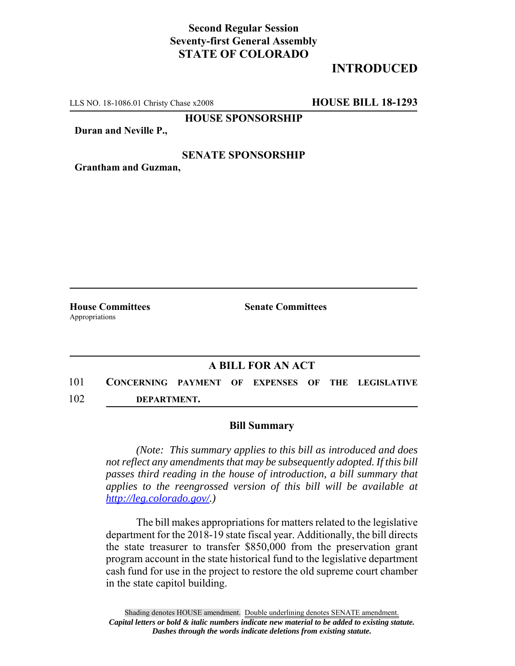## **Second Regular Session Seventy-first General Assembly STATE OF COLORADO**

# **INTRODUCED**

LLS NO. 18-1086.01 Christy Chase x2008 **HOUSE BILL 18-1293**

**HOUSE SPONSORSHIP**

**Duran and Neville P.,**

#### **SENATE SPONSORSHIP**

**Grantham and Guzman,**

Appropriations

**House Committees Senate Committees** 

### **A BILL FOR AN ACT**

101 **CONCERNING PAYMENT OF EXPENSES OF THE LEGISLATIVE** 102 **DEPARTMENT.**

#### **Bill Summary**

*(Note: This summary applies to this bill as introduced and does not reflect any amendments that may be subsequently adopted. If this bill passes third reading in the house of introduction, a bill summary that applies to the reengrossed version of this bill will be available at http://leg.colorado.gov/.)*

The bill makes appropriations for matters related to the legislative department for the 2018-19 state fiscal year. Additionally, the bill directs the state treasurer to transfer \$850,000 from the preservation grant program account in the state historical fund to the legislative department cash fund for use in the project to restore the old supreme court chamber in the state capitol building.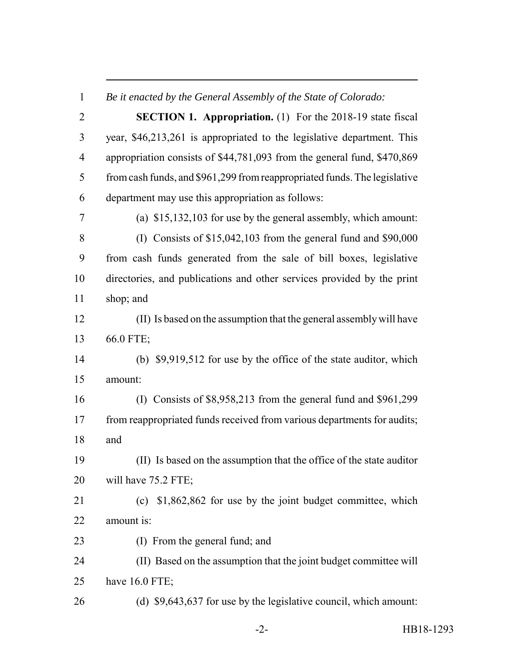*Be it enacted by the General Assembly of the State of Colorado:*

 **SECTION 1. Appropriation.** (1) For the 2018-19 state fiscal year, \$46,213,261 is appropriated to the legislative department. This appropriation consists of \$44,781,093 from the general fund, \$470,869 from cash funds, and \$961,299 from reappropriated funds. The legislative department may use this appropriation as follows: (a) \$15,132,103 for use by the general assembly, which amount: (I) Consists of \$15,042,103 from the general fund and \$90,000 from cash funds generated from the sale of bill boxes, legislative directories, and publications and other services provided by the print shop; and (II) Is based on the assumption that the general assembly will have 66.0 FTE; (b) \$9,919,512 for use by the office of the state auditor, which amount: (I) Consists of \$8,958,213 from the general fund and \$961,299 17 from reappropriated funds received from various departments for audits; and (II) Is based on the assumption that the office of the state auditor 20 will have 75.2 FTE; (c) \$1,862,862 for use by the joint budget committee, which amount is: (I) From the general fund; and (II) Based on the assumption that the joint budget committee will have 16.0 FTE; (d) \$9,643,637 for use by the legislative council, which amount: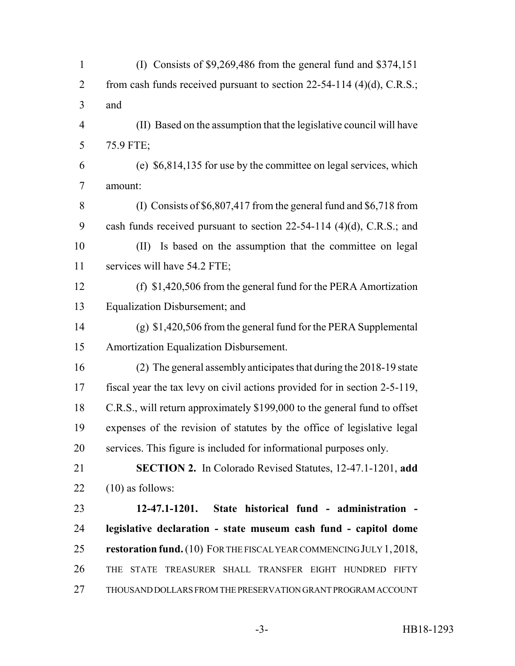| $\mathbf{1}$   | (I) Consists of $$9,269,486$ from the general fund and $$374,151$          |
|----------------|----------------------------------------------------------------------------|
| $\overline{2}$ | from cash funds received pursuant to section $22-54-114$ (4)(d), C.R.S.;   |
| 3              | and                                                                        |
| $\overline{4}$ | (II) Based on the assumption that the legislative council will have        |
| 5              | 75.9 FTE;                                                                  |
| 6              | (e) \$6,814,135 for use by the committee on legal services, which          |
| $\tau$         | amount:                                                                    |
| 8              | (I) Consists of $$6,807,417$ from the general fund and $$6,718$ from       |
| 9              | cash funds received pursuant to section $22-54-114$ (4)(d), C.R.S.; and    |
| 10             | Is based on the assumption that the committee on legal<br>(II)             |
| 11             | services will have 54.2 FTE;                                               |
| 12             | (f) $$1,420,506$ from the general fund for the PERA Amortization           |
| 13             | Equalization Disbursement; and                                             |
| 14             | $(g)$ \$1,420,506 from the general fund for the PERA Supplemental          |
| 15             | Amortization Equalization Disbursement.                                    |
| 16             | (2) The general assembly anticipates that during the 2018-19 state         |
| 17             | fiscal year the tax levy on civil actions provided for in section 2-5-119, |
| 18             | C.R.S., will return approximately \$199,000 to the general fund to offset  |
| 19             | expenses of the revision of statutes by the office of legislative legal    |
| 20             | services. This figure is included for informational purposes only.         |
| 21             | SECTION 2. In Colorado Revised Statutes, 12-47.1-1201, add                 |
| 22             | $(10)$ as follows:                                                         |
| 23             | State historical fund - administration -<br>$12 - 47.1 - 1201.$            |
| 24             | legislative declaration - state museum cash fund - capitol dome            |
| 25             | restoration fund. (10) FOR THE FISCAL YEAR COMMENCING JULY 1, 2018,        |
| 26             | STATE TREASURER SHALL TRANSFER EIGHT HUNDRED FIFTY<br>THE                  |
| 27             | THOUSAND DOLLARS FROM THE PRESERVATION GRANT PROGRAM ACCOUNT               |